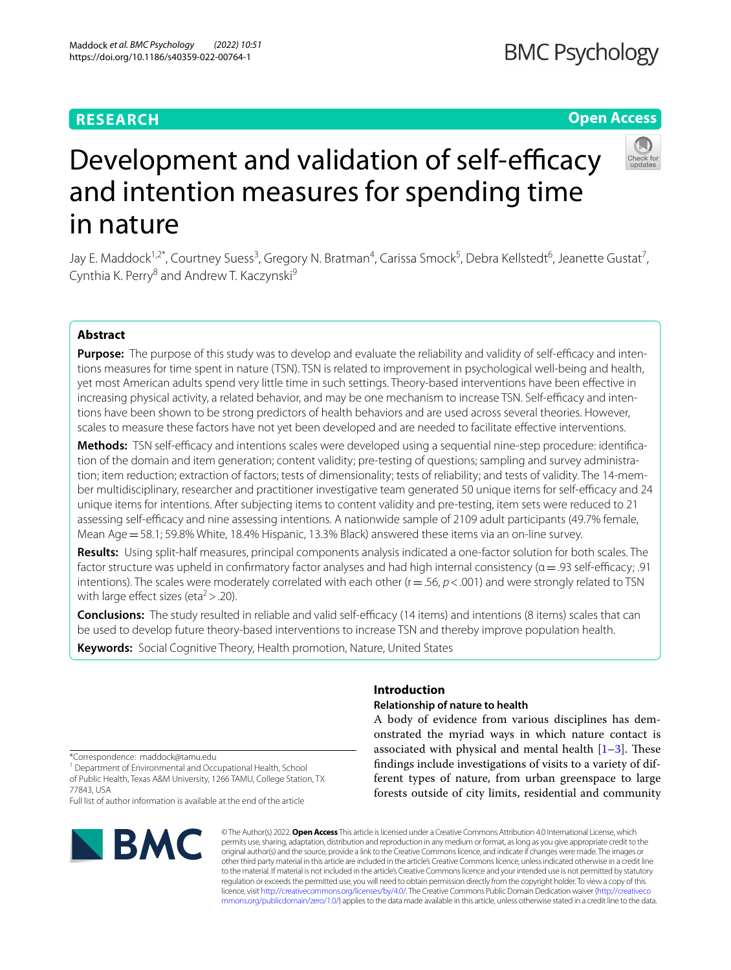# **RESEARCH**

# **BMC Psychology**

# **Open Access**



# Development and validation of self-efficacy and intention measures for spending time in nature

Jay E. Maddock<sup>1,2\*</sup>, Courtney Suess<sup>3</sup>, Gregory N. Bratman<sup>4</sup>, Carissa Smock<sup>5</sup>, Debra Kellstedt<sup>6</sup>, Jeanette Gustat<sup>7</sup>, Cynthia K. Perry<sup>8</sup> and Andrew T. Kaczynski<sup>9</sup>

# **Abstract**

**Purpose:** The purpose of this study was to develop and evaluate the reliability and validity of self-efficacy and intentions measures for time spent in nature (TSN). TSN is related to improvement in psychological well-being and health, yet most American adults spend very little time in such settings. Theory-based interventions have been efective in increasing physical activity, a related behavior, and may be one mechanism to increase TSN. Self-efficacy and intentions have been shown to be strong predictors of health behaviors and are used across several theories. However, scales to measure these factors have not yet been developed and are needed to facilitate efective interventions.

**Methods:** TSN self-efficacy and intentions scales were developed using a sequential nine-step procedure: identification of the domain and item generation; content validity; pre-testing of questions; sampling and survey administration; item reduction; extraction of factors; tests of dimensionality; tests of reliability; and tests of validity. The 14-member multidisciplinary, researcher and practitioner investigative team generated 50 unique items for self-efficacy and 24 unique items for intentions. After subjecting items to content validity and pre-testing, item sets were reduced to 21 assessing self-efficacy and nine assessing intentions. A nationwide sample of 2109 adult participants (49.7% female, Mean Age = 58.1; 59.8% White, 18.4% Hispanic, 13.3% Black) answered these items via an on-line survey.

**Results:** Using split-half measures, principal components analysis indicated a one-factor solution for both scales. The factor structure was upheld in confirmatory factor analyses and had high internal consistency ( $\alpha$  = .93 self-efficacy; .91 intentions). The scales were moderately correlated with each other  $(r = .56, p < .001)$  and were strongly related to TSN with large effect sizes (eta<sup>2</sup> > .20).

**Conclusions:** The study resulted in reliable and valid self-efficacy (14 items) and intentions (8 items) scales that can be used to develop future theory-based interventions to increase TSN and thereby improve population health.

**Keywords:** Social Cognitive Theory, Health promotion, Nature, United States

\*Correspondence: maddock@tamu.edu

<sup>1</sup> Department of Environmental and Occupational Health, School of Public Health, Texas A&M University, 1266 TAMU, College Station, TX 77843, USA

Full list of author information is available at the end of the article



#### © The Author(s) 2022. **Open Access** This article is licensed under a Creative Commons Attribution 4.0 International License, which permits use, sharing, adaptation, distribution and reproduction in any medium or format, as long as you give appropriate credit to the original author(s) and the source, provide a link to the Creative Commons licence, and indicate if changes were made. The images or other third party material in this article are included in the article's Creative Commons licence, unless indicated otherwise in a credit line to the material. If material is not included in the article's Creative Commons licence and your intended use is not permitted by statutory regulation or exceeds the permitted use, you will need to obtain permission directly from the copyright holder. To view a copy of this licence, visit [http://creativecommons.org/licenses/by/4.0/.](http://creativecommons.org/licenses/by/4.0/) The Creative Commons Public Domain Dedication waiver ([http://creativeco](http://creativecommons.org/publicdomain/zero/1.0/) [mmons.org/publicdomain/zero/1.0/](http://creativecommons.org/publicdomain/zero/1.0/)) applies to the data made available in this article, unless otherwise stated in a credit line to the data.

# **Introduction**

# **Relationship of nature to health**

A body of evidence from various disciplines has demonstrated the myriad ways in which nature contact is associated with physical and mental health  $[1-3]$  $[1-3]$ . These fndings include investigations of visits to a variety of different types of nature, from urban greenspace to large forests outside of city limits, residential and community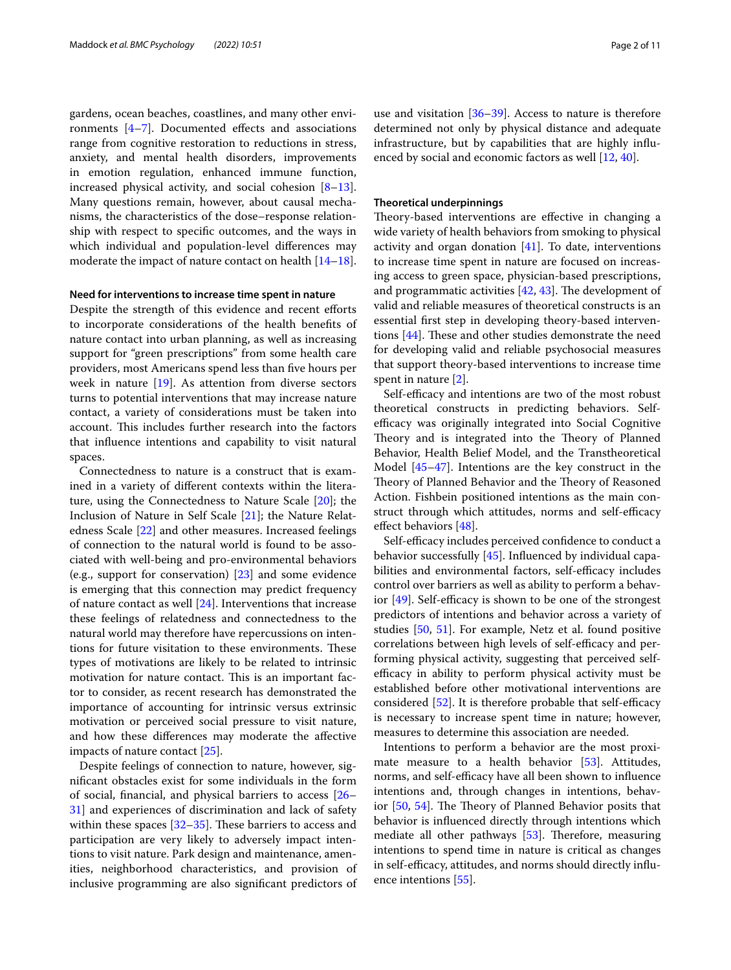gardens, ocean beaches, coastlines, and many other environments  $[4-7]$  $[4-7]$  $[4-7]$ . Documented effects and associations range from cognitive restoration to reductions in stress, anxiety, and mental health disorders, improvements in emotion regulation, enhanced immune function, increased physical activity, and social cohesion  $[8-13]$  $[8-13]$ . Many questions remain, however, about causal mechanisms, the characteristics of the dose–response relationship with respect to specifc outcomes, and the ways in which individual and population-level diferences may moderate the impact of nature contact on health [[14](#page-9-3)[–18](#page-9-4)].

### **Need for interventions to increase time spent in nature**

Despite the strength of this evidence and recent efforts to incorporate considerations of the health benefts of nature contact into urban planning, as well as increasing support for "green prescriptions" from some health care providers, most Americans spend less than fve hours per week in nature [\[19\]](#page-9-5). As attention from diverse sectors turns to potential interventions that may increase nature contact, a variety of considerations must be taken into account. This includes further research into the factors that infuence intentions and capability to visit natural spaces.

Connectedness to nature is a construct that is examined in a variety of diferent contexts within the literature, using the Connectedness to Nature Scale [[20\]](#page-9-6); the Inclusion of Nature in Self Scale [\[21](#page-9-7)]; the Nature Relatedness Scale [\[22](#page-9-8)] and other measures. Increased feelings of connection to the natural world is found to be associated with well-being and pro-environmental behaviors (e.g., support for conservation) [[23](#page-9-9)] and some evidence is emerging that this connection may predict frequency of nature contact as well [[24](#page-9-10)]. Interventions that increase these feelings of relatedness and connectedness to the natural world may therefore have repercussions on intentions for future visitation to these environments. These types of motivations are likely to be related to intrinsic motivation for nature contact. This is an important factor to consider, as recent research has demonstrated the importance of accounting for intrinsic versus extrinsic motivation or perceived social pressure to visit nature, and how these diferences may moderate the afective impacts of nature contact [\[25](#page-9-11)].

Despite feelings of connection to nature, however, signifcant obstacles exist for some individuals in the form of social, fnancial, and physical barriers to access [[26–](#page-9-12) [31\]](#page-9-13) and experiences of discrimination and lack of safety within these spaces  $[32-35]$  $[32-35]$  $[32-35]$ . These barriers to access and participation are very likely to adversely impact intentions to visit nature. Park design and maintenance, amenities, neighborhood characteristics, and provision of inclusive programming are also signifcant predictors of use and visitation  $[36-39]$  $[36-39]$  $[36-39]$ . Access to nature is therefore determined not only by physical distance and adequate infrastructure, but by capabilities that are highly infuenced by social and economic factors as well [\[12](#page-9-18), [40\]](#page-9-19).

#### **Theoretical underpinnings**

Theory-based interventions are effective in changing a wide variety of health behaviors from smoking to physical activity and organ donation [[41\]](#page-9-20). To date, interventions to increase time spent in nature are focused on increasing access to green space, physician-based prescriptions, and programmatic activities  $[42, 43]$  $[42, 43]$  $[42, 43]$ . The development of valid and reliable measures of theoretical constructs is an essential frst step in developing theory-based interventions  $[44]$  $[44]$ . These and other studies demonstrate the need for developing valid and reliable psychosocial measures that support theory-based interventions to increase time spent in nature [[2\]](#page-8-3).

Self-efficacy and intentions are two of the most robust theoretical constructs in predicting behaviors. Selfefficacy was originally integrated into Social Cognitive Theory and is integrated into the Theory of Planned Behavior, Health Belief Model, and the Transtheoretical Model [\[45](#page-10-1)[–47](#page-10-2)]. Intentions are the key construct in the Theory of Planned Behavior and the Theory of Reasoned Action. Fishbein positioned intentions as the main construct through which attitudes, norms and self-efficacy efect behaviors [\[48](#page-10-3)].

Self-efficacy includes perceived confidence to conduct a behavior successfully [[45](#page-10-1)]. Infuenced by individual capabilities and environmental factors, self-efficacy includes control over barriers as well as ability to perform a behavior  $[49]$  $[49]$ . Self-efficacy is shown to be one of the strongest predictors of intentions and behavior across a variety of studies [\[50,](#page-10-5) [51](#page-10-6)]. For example, Netz et al. found positive correlations between high levels of self-efficacy and performing physical activity, suggesting that perceived selfefficacy in ability to perform physical activity must be established before other motivational interventions are considered  $[52]$  $[52]$  $[52]$ . It is therefore probable that self-efficacy is necessary to increase spent time in nature; however, measures to determine this association are needed.

Intentions to perform a behavior are the most proxi-mate measure to a health behavior [\[53](#page-10-8)]. Attitudes, norms, and self-efficacy have all been shown to influence intentions and, through changes in intentions, behavior  $[50, 54]$  $[50, 54]$  $[50, 54]$  $[50, 54]$ . The Theory of Planned Behavior posits that behavior is infuenced directly through intentions which mediate all other pathways  $[53]$  $[53]$ . Therefore, measuring intentions to spend time in nature is critical as changes in self-efficacy, attitudes, and norms should directly influence intentions [[55](#page-10-10)].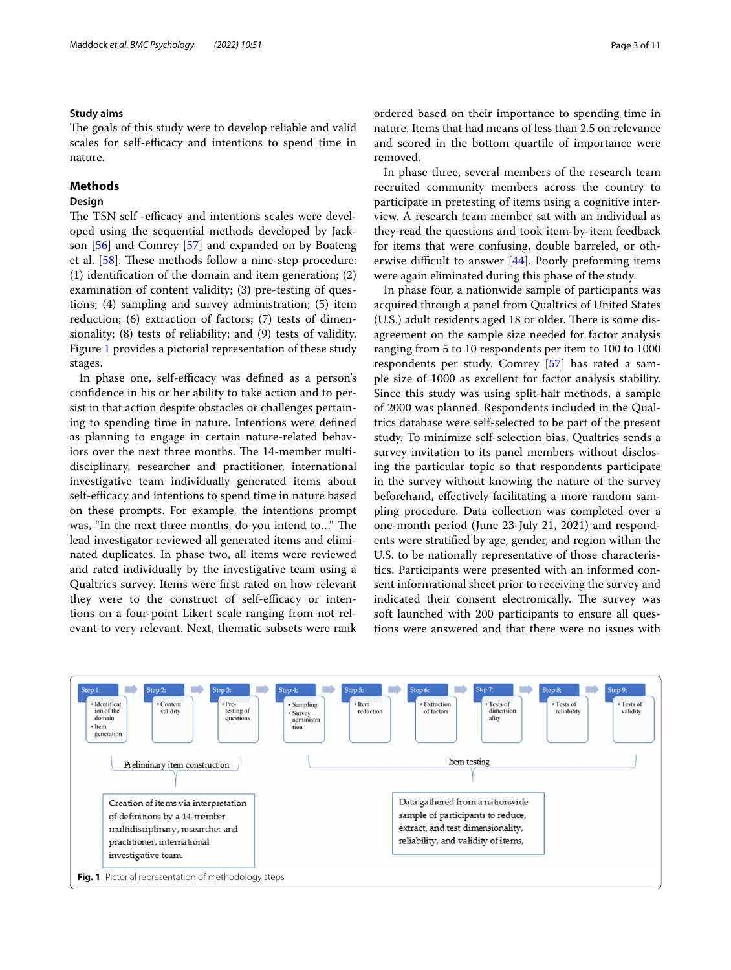# **Study aims**

The goals of this study were to develop reliable and valid scales for self-efficacy and intentions to spend time in nature.

# **Methods**

# **Design**

The TSN self -efficacy and intentions scales were developed using the sequential methods developed by Jackson [[56\]](#page-10-11) and Comrey [\[57](#page-10-12)] and expanded on by Boateng et al.  $[58]$  $[58]$  $[58]$ . These methods follow a nine-step procedure: (1) identifcation of the domain and item generation; (2) examination of content validity; (3) pre-testing of questions; (4) sampling and survey administration; (5) item reduction; (6) extraction of factors; (7) tests of dimensionality; (8) tests of reliability; and (9) tests of validity. Figure [1](#page-2-0) provides a pictorial representation of these study stages.

In phase one, self-efficacy was defined as a person's confdence in his or her ability to take action and to persist in that action despite obstacles or challenges pertaining to spending time in nature. Intentions were defned as planning to engage in certain nature-related behaviors over the next three months. The 14-member multidisciplinary, researcher and practitioner, international investigative team individually generated items about self-efficacy and intentions to spend time in nature based on these prompts. For example, the intentions prompt was, "In the next three months, do you intend to..." The lead investigator reviewed all generated items and eliminated duplicates. In phase two, all items were reviewed and rated individually by the investigative team using a Qualtrics survey. Items were frst rated on how relevant they were to the construct of self-efficacy or intentions on a four-point Likert scale ranging from not relevant to very relevant. Next, thematic subsets were rank

ordered based on their importance to spending time in nature. Items that had means of less than 2.5 on relevance and scored in the bottom quartile of importance were removed.

In phase three, several members of the research team recruited community members across the country to participate in pretesting of items using a cognitive interview. A research team member sat with an individual as they read the questions and took item-by-item feedback for items that were confusing, double barreled, or otherwise difficult to answer  $[44]$  $[44]$  $[44]$ . Poorly preforming items were again eliminated during this phase of the study.

In phase four, a nationwide sample of participants was acquired through a panel from Qualtrics of United States (U.S.) adult residents aged 18 or older. There is some disagreement on the sample size needed for factor analysis ranging from 5 to 10 respondents per item to 100 to 1000 respondents per study. Comrey [\[57](#page-10-12)] has rated a sample size of 1000 as excellent for factor analysis stability. Since this study was using split-half methods, a sample of 2000 was planned. Respondents included in the Qualtrics database were self-selected to be part of the present study. To minimize self-selection bias, Qualtrics sends a survey invitation to its panel members without disclosing the particular topic so that respondents participate in the survey without knowing the nature of the survey beforehand, efectively facilitating a more random sampling procedure. Data collection was completed over a one-month period (June 23-July 21, 2021) and respondents were stratifed by age, gender, and region within the U.S. to be nationally representative of those characteristics. Participants were presented with an informed consent informational sheet prior to receiving the survey and indicated their consent electronically. The survey was soft launched with 200 participants to ensure all questions were answered and that there were no issues with

<span id="page-2-0"></span>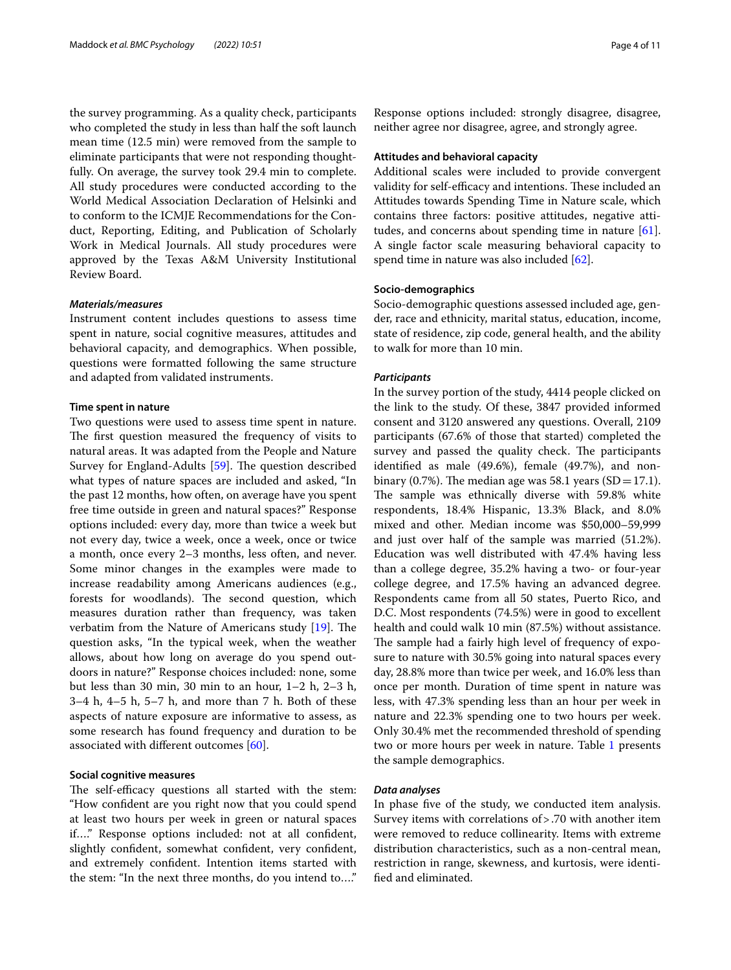the survey programming. As a quality check, participants who completed the study in less than half the soft launch mean time (12.5 min) were removed from the sample to eliminate participants that were not responding thoughtfully. On average, the survey took 29.4 min to complete. All study procedures were conducted according to the World Medical Association Declaration of Helsinki and to conform to the ICMJE Recommendations for the Conduct, Reporting, Editing, and Publication of Scholarly Work in Medical Journals. All study procedures were approved by the Texas A&M University Institutional Review Board.

# *Materials/measures*

Instrument content includes questions to assess time spent in nature, social cognitive measures, attitudes and behavioral capacity, and demographics. When possible, questions were formatted following the same structure and adapted from validated instruments.

## **Time spent in nature**

Two questions were used to assess time spent in nature. The first question measured the frequency of visits to natural areas. It was adapted from the People and Nature Survey for England-Adults [\[59](#page-10-14)]. The question described what types of nature spaces are included and asked, "In the past 12 months, how often, on average have you spent free time outside in green and natural spaces?" Response options included: every day, more than twice a week but not every day, twice a week, once a week, once or twice a month, once every 2–3 months, less often, and never. Some minor changes in the examples were made to increase readability among Americans audiences (e.g., forests for woodlands). The second question, which measures duration rather than frequency, was taken verbatim from the Nature of Americans study [\[19](#page-9-5)]. The question asks, "In the typical week, when the weather allows, about how long on average do you spend outdoors in nature?" Response choices included: none, some but less than 30 min, 30 min to an hour, 1–2 h, 2–3 h, 3–4 h, 4–5 h, 5–7 h, and more than 7 h. Both of these aspects of nature exposure are informative to assess, as some research has found frequency and duration to be associated with diferent outcomes [[60\]](#page-10-15).

### **Social cognitive measures**

The self-efficacy questions all started with the stem: "How confdent are you right now that you could spend at least two hours per week in green or natural spaces if…." Response options included: not at all confdent, slightly confdent, somewhat confdent, very confdent, and extremely confdent. Intention items started with the stem: "In the next three months, do you intend to…."

Response options included: strongly disagree, disagree, neither agree nor disagree, agree, and strongly agree.

## **Attitudes and behavioral capacity**

Additional scales were included to provide convergent validity for self-efficacy and intentions. These included an Attitudes towards Spending Time in Nature scale, which contains three factors: positive attitudes, negative attitudes, and concerns about spending time in nature [\[61](#page-10-16)]. A single factor scale measuring behavioral capacity to spend time in nature was also included [[62](#page-10-17)].

## **Socio‑demographics**

Socio-demographic questions assessed included age, gender, race and ethnicity, marital status, education, income, state of residence, zip code, general health, and the ability to walk for more than 10 min.

#### *Participants*

In the survey portion of the study, 4414 people clicked on the link to the study. Of these, 3847 provided informed consent and 3120 answered any questions. Overall, 2109 participants (67.6% of those that started) completed the survey and passed the quality check. The participants identifed as male (49.6%), female (49.7%), and nonbinary (0.7%). The median age was 58.1 years (SD = 17.1). The sample was ethnically diverse with 59.8% white respondents, 18.4% Hispanic, 13.3% Black, and 8.0% mixed and other. Median income was \$50,000–59,999 and just over half of the sample was married (51.2%). Education was well distributed with 47.4% having less than a college degree, 35.2% having a two- or four-year college degree, and 17.5% having an advanced degree. Respondents came from all 50 states, Puerto Rico, and D.C. Most respondents (74.5%) were in good to excellent health and could walk 10 min (87.5%) without assistance. The sample had a fairly high level of frequency of exposure to nature with 30.5% going into natural spaces every day, 28.8% more than twice per week, and 16.0% less than once per month. Duration of time spent in nature was less, with 47.3% spending less than an hour per week in nature and 22.3% spending one to two hours per week. Only 30.4% met the recommended threshold of spending two or more hours per week in nature. Table [1](#page-4-0) presents the sample demographics.

# *Data analyses*

In phase fve of the study, we conducted item analysis. Survey items with correlations of>.70 with another item were removed to reduce collinearity. Items with extreme distribution characteristics, such as a non-central mean, restriction in range, skewness, and kurtosis, were identifed and eliminated.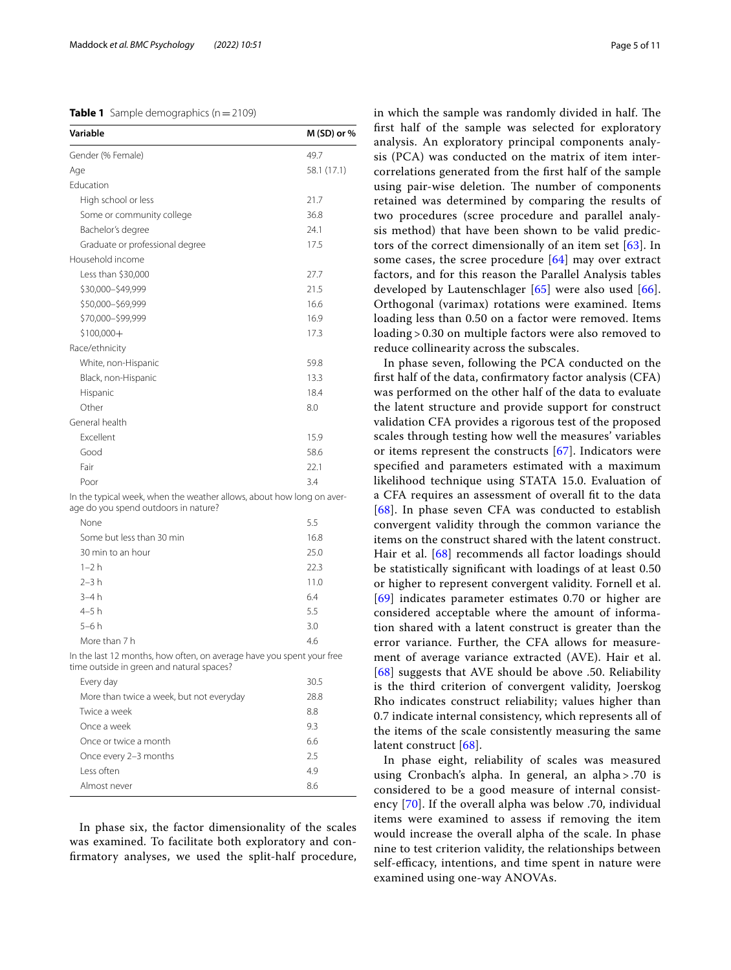<span id="page-4-0"></span>

| <b>Table 1</b> Sample demographics ( $n = 2109$ ) |  |  |  |  |
|---------------------------------------------------|--|--|--|--|
|---------------------------------------------------|--|--|--|--|

| Variable                                                             | M (SD) or % |
|----------------------------------------------------------------------|-------------|
| Gender (% Female)                                                    | 49.7        |
| Age                                                                  | 58.1 (17.1) |
| Education                                                            |             |
| High school or less                                                  | 21.7        |
| Some or community college                                            | 36.8        |
| Bachelor's degree                                                    | 24.1        |
| Graduate or professional degree                                      | 17.5        |
| Household income                                                     |             |
| Less than \$30,000                                                   | 27.7        |
| \$30,000-\$49,999                                                    | 21.5        |
| \$50,000-\$69,999                                                    | 16.6        |
| \$70,000-\$99,999                                                    | 16.9        |
| $$100,000+$                                                          | 17.3        |
| Race/ethnicity                                                       |             |
| White, non-Hispanic                                                  | 59.8        |
| Black, non-Hispanic                                                  | 13.3        |
| Hispanic                                                             | 18.4        |
| Other                                                                | 8.0         |
| General health                                                       |             |
| Excellent                                                            | 15.9        |
| Good                                                                 | 58.6        |
| Fair                                                                 | 22.1        |
| Poor                                                                 | 3.4         |
| In the typical week, when the weather allows about bow long on aver- |             |

In the typical week, when the weather allows, about how long on aver age do you spend outdoors in nature?

| None                      | 5.5  |
|---------------------------|------|
| Some but less than 30 min | 16.8 |
| 30 min to an hour         | 25.0 |
| $1 - 2h$                  | 22.3 |
| $2 - 3h$                  | 11.0 |
| $3-4h$                    | 6.4  |
| $4-5h$                    | 5.5  |
| $5-6h$                    | 3.0  |
| More than 7 h             | 4.6  |
|                           |      |

In the last 12 months, how often, on average have you spent your free time outside in green and natural spaces?

| Every day                                | 30.5 |
|------------------------------------------|------|
| More than twice a week, but not everyday | 28.8 |
| Twice a week                             | 8.8  |
| Once a week                              | 93   |
| Once or twice a month                    | 6.6  |
| Once every 2-3 months                    | 2.5  |
| Less often                               | 4.9  |
| Almost never                             | 86   |

In phase six, the factor dimensionality of the scales was examined. To facilitate both exploratory and confrmatory analyses, we used the split-half procedure, in which the sample was randomly divided in half. The frst half of the sample was selected for exploratory analysis. An exploratory principal components analysis (PCA) was conducted on the matrix of item intercorrelations generated from the frst half of the sample using pair-wise deletion. The number of components retained was determined by comparing the results of two procedures (scree procedure and parallel analysis method) that have been shown to be valid predictors of the correct dimensionally of an item set [[63](#page-10-18)]. In some cases, the scree procedure [[64](#page-10-19)] may over extract factors, and for this reason the Parallel Analysis tables developed by Lautenschlager [[65\]](#page-10-20) were also used [[66](#page-10-21)]. Orthogonal (varimax) rotations were examined. Items loading less than 0.50 on a factor were removed. Items loading > 0.30 on multiple factors were also removed to reduce collinearity across the subscales.

In phase seven, following the PCA conducted on the frst half of the data, confrmatory factor analysis (CFA) was performed on the other half of the data to evaluate the latent structure and provide support for construct validation CFA provides a rigorous test of the proposed scales through testing how well the measures' variables or items represent the constructs  $[67]$  $[67]$ . Indicators were specifed and parameters estimated with a maximum likelihood technique using STATA 15.0. Evaluation of a CFA requires an assessment of overall ft to the data [[68](#page-10-23)]. In phase seven CFA was conducted to establish convergent validity through the common variance the items on the construct shared with the latent construct. Hair et al. [[68](#page-10-23)] recommends all factor loadings should be statistically signifcant with loadings of at least 0.50 or higher to represent convergent validity. Fornell et al. [[69](#page-10-24)] indicates parameter estimates 0.70 or higher are considered acceptable where the amount of information shared with a latent construct is greater than the error variance. Further, the CFA allows for measurement of average variance extracted (AVE). Hair et al. [[68](#page-10-23)] suggests that AVE should be above .50. Reliability is the third criterion of convergent validity, Joerskog Rho indicates construct reliability; values higher than 0.7 indicate internal consistency, which represents all of the items of the scale consistently measuring the same latent construct [\[68](#page-10-23)].

In phase eight, reliability of scales was measured using Cronbach's alpha. In general, an alpha > .70 is considered to be a good measure of internal consistency [[70\]](#page-10-25). If the overall alpha was below .70, individual items were examined to assess if removing the item would increase the overall alpha of the scale. In phase nine to test criterion validity, the relationships between self-efficacy, intentions, and time spent in nature were examined using one-way ANOVAs.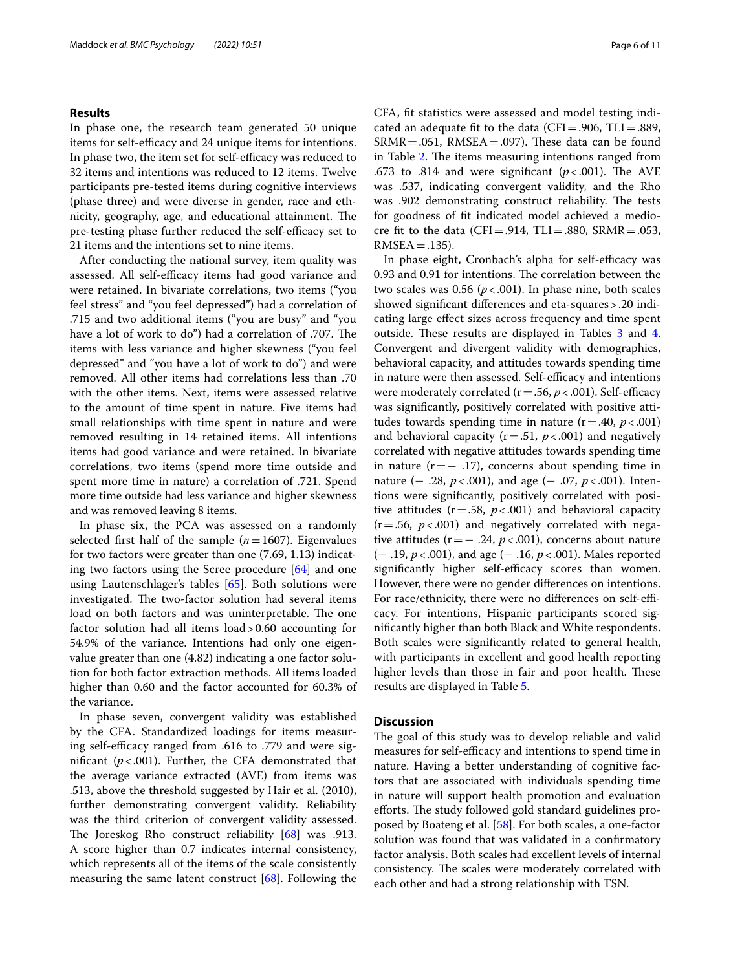# **Results**

In phase one, the research team generated 50 unique items for self-efficacy and 24 unique items for intentions. In phase two, the item set for self-efficacy was reduced to 32 items and intentions was reduced to 12 items. Twelve participants pre-tested items during cognitive interviews (phase three) and were diverse in gender, race and ethnicity, geography, age, and educational attainment. The pre-testing phase further reduced the self-efficacy set to 21 items and the intentions set to nine items.

After conducting the national survey, item quality was assessed. All self-efficacy items had good variance and were retained. In bivariate correlations, two items ("you feel stress" and "you feel depressed") had a correlation of .715 and two additional items ("you are busy" and "you have a lot of work to do") had a correlation of .707. The items with less variance and higher skewness ("you feel depressed" and "you have a lot of work to do") and were removed. All other items had correlations less than .70 with the other items. Next, items were assessed relative to the amount of time spent in nature. Five items had small relationships with time spent in nature and were removed resulting in 14 retained items. All intentions items had good variance and were retained. In bivariate correlations, two items (spend more time outside and spent more time in nature) a correlation of .721. Spend more time outside had less variance and higher skewness and was removed leaving 8 items.

In phase six, the PCA was assessed on a randomly selected first half of the sample  $(n=1607)$ . Eigenvalues for two factors were greater than one (7.69, 1.13) indicating two factors using the Scree procedure [\[64\]](#page-10-19) and one using Lautenschlager's tables [[65\]](#page-10-20). Both solutions were investigated. The two-factor solution had several items load on both factors and was uninterpretable. The one factor solution had all items load>0.60 accounting for 54.9% of the variance. Intentions had only one eigenvalue greater than one (4.82) indicating a one factor solution for both factor extraction methods. All items loaded higher than 0.60 and the factor accounted for 60.3% of the variance.

In phase seven, convergent validity was established by the CFA. Standardized loadings for items measuring self-efficacy ranged from .616 to .779 and were significant  $(p < .001)$ . Further, the CFA demonstrated that the average variance extracted (AVE) from items was .513, above the threshold suggested by Hair et al. (2010), further demonstrating convergent validity. Reliability was the third criterion of convergent validity assessed. The Joreskog Rho construct reliability [[68\]](#page-10-23) was .913. A score higher than 0.7 indicates internal consistency, which represents all of the items of the scale consistently measuring the same latent construct [[68](#page-10-23)]. Following the CFA, ft statistics were assessed and model testing indicated an adequate fit to the data (CFI=.906, TLI=.889,  $SRMR = .051$ ,  $RMSEA = .097$ ). These data can be found in Table [2](#page-6-0). The items measuring intentions ranged from .673 to .814 and were significant  $(p < .001)$ . The AVE was .537, indicating convergent validity, and the Rho was .902 demonstrating construct reliability. The tests for goodness of ft indicated model achieved a mediocre fit to the data (CFI=.914, TLI=.880, SRMR=.053,  $RMSEA = .135$ ).

In phase eight, Cronbach's alpha for self-efficacy was 0.93 and 0.91 for intentions. The correlation between the two scales was  $0.56$  ( $p < .001$ ). In phase nine, both scales showed signifcant diferences and eta-squares>.20 indicating large efect sizes across frequency and time spent outside. These results are displayed in Tables [3](#page-6-1) and [4](#page-7-0). Convergent and divergent validity with demographics, behavioral capacity, and attitudes towards spending time in nature were then assessed. Self-efficacy and intentions were moderately correlated  $(r=.56, p<.001)$ . Self-efficacy was signifcantly, positively correlated with positive attitudes towards spending time in nature  $(r = .40, p < .001)$ and behavioral capacity  $(r=.51, p<.001)$  and negatively correlated with negative attitudes towards spending time in nature  $(r=-.17)$ , concerns about spending time in nature (− .28, *p* < .001), and age (− .07, *p* < .001). Intentions were signifcantly, positively correlated with positive attitudes  $(r=.58, p<.001)$  and behavioral capacity  $(r=.56, p<.001)$  and negatively correlated with negative attitudes (r=− .24, *p*<.001), concerns about nature (− .19, *p*<.001), and age (− .16, *p*<.001). Males reported significantly higher self-efficacy scores than women. However, there were no gender diferences on intentions. For race/ethnicity, there were no differences on self-efficacy. For intentions, Hispanic participants scored signifcantly higher than both Black and White respondents. Both scales were signifcantly related to general health, with participants in excellent and good health reporting higher levels than those in fair and poor health. These results are displayed in Table [5](#page-7-1).

# **Discussion**

The goal of this study was to develop reliable and valid measures for self-efficacy and intentions to spend time in nature. Having a better understanding of cognitive factors that are associated with individuals spending time in nature will support health promotion and evaluation efforts. The study followed gold standard guidelines proposed by Boateng et al. [[58\]](#page-10-13). For both scales, a one-factor solution was found that was validated in a confrmatory factor analysis. Both scales had excellent levels of internal consistency. The scales were moderately correlated with each other and had a strong relationship with TSN.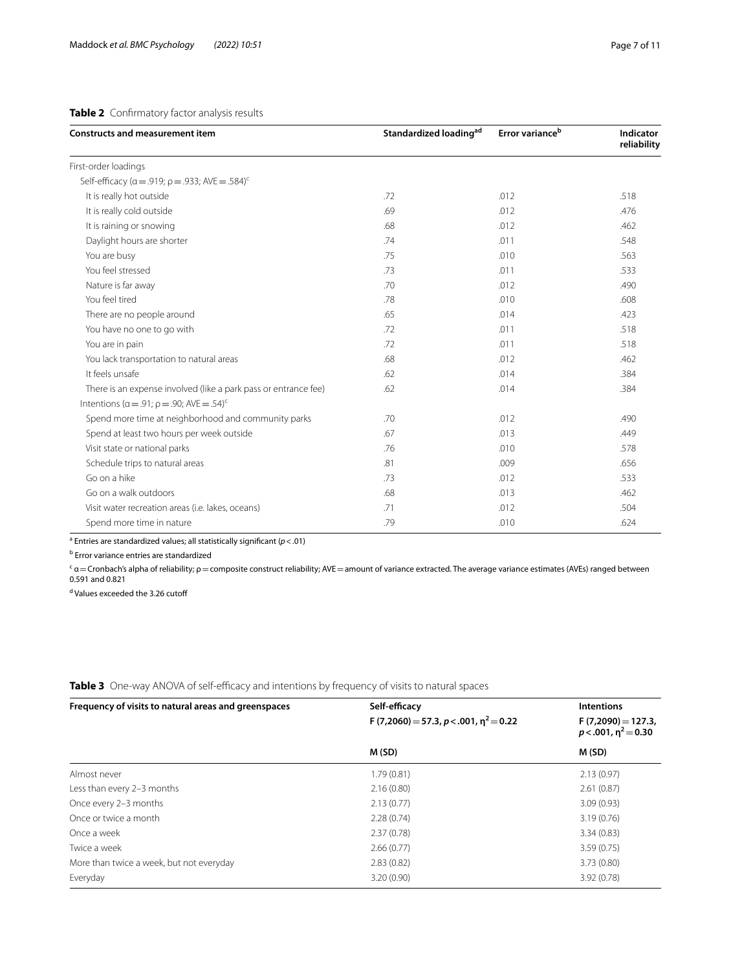# <span id="page-6-0"></span>**Table 2** Confrmatory factor analysis results

| <b>Constructs and measurement item</b>                                   | Standardized loading <sup>ad</sup> | Error variance <sup>b</sup> | Indicator<br>reliability |
|--------------------------------------------------------------------------|------------------------------------|-----------------------------|--------------------------|
| First-order loadings                                                     |                                    |                             |                          |
| Self-efficacy ( $\alpha$ = .919; $\rho$ = .933; AVE = .584) <sup>c</sup> |                                    |                             |                          |
| It is really hot outside                                                 | .72                                | .012                        | .518                     |
| It is really cold outside                                                | .69                                | .012                        | .476                     |
| It is raining or snowing                                                 | .68                                | .012                        | .462                     |
| Daylight hours are shorter                                               | .74                                | .011                        | .548                     |
| You are busy                                                             | .75                                | .010                        | .563                     |
| You feel stressed                                                        | .73                                | .011                        | .533                     |
| Nature is far away                                                       | .70                                | .012                        | .490                     |
| You feel tired                                                           | .78                                | .010                        | .608                     |
| There are no people around                                               | .65                                | .014                        | .423                     |
| You have no one to go with                                               | .72                                | .011                        | .518                     |
| You are in pain                                                          | .72                                | .011                        | .518                     |
| You lack transportation to natural areas                                 | .68                                | .012                        | .462                     |
| It feels unsafe                                                          | .62                                | .014                        | .384                     |
| There is an expense involved (like a park pass or entrance fee)          | .62                                | .014                        | .384                     |
| Intentions ( $\alpha$ = .91; $\rho$ = .90; AVE = .54) <sup>c</sup>       |                                    |                             |                          |
| Spend more time at neighborhood and community parks                      | .70                                | .012                        | .490                     |
| Spend at least two hours per week outside                                | .67                                | .013                        | .449                     |
| Visit state or national parks                                            | .76                                | .010                        | .578                     |
| Schedule trips to natural areas                                          | .81                                | .009                        | .656                     |
| Go on a hike                                                             | .73                                | .012                        | .533                     |
| Go on a walk outdoors                                                    | .68                                | .013                        | .462                     |
| Visit water recreation areas (i.e. lakes, oceans)                        | .71                                | .012                        | .504                     |
| Spend more time in nature                                                | .79                                | .010                        | .624                     |

a Entries are standardized values; all statistically signifcant (*p*<.01)

<sup>b</sup> Error variance entries are standardized

<sup>c</sup> α=Cronbach's alpha of reliability;  $\rho$  = composite construct reliability; AVE = amount of variance extracted. The average variance estimates (AVEs) ranged between 0.591 and 0.821

<sup>d</sup> Values exceeded the 3.26 cutoff

<span id="page-6-1"></span>Table 3 One-way ANOVA of self-efficacy and intentions by frequency of visits to natural spaces

| Frequency of visits to natural areas and greenspaces | Self-efficacy                             | <b>Intentions</b>                                |
|------------------------------------------------------|-------------------------------------------|--------------------------------------------------|
|                                                      | F (7,2060) = 57.3, p < .001, $n^2$ = 0.22 | $F(7,2090) = 127.3$<br>$p < .001$ , $n^2 = 0.30$ |
|                                                      | M (SD)                                    | M(SD)                                            |
| Almost never                                         | 1.79(0.81)                                | 2.13(0.97)                                       |
| Less than every 2-3 months                           | 2.16(0.80)                                | 2.61(0.87)                                       |
| Once every 2-3 months                                | 2.13(0.77)                                | 3.09(0.93)                                       |
| Once or twice a month                                | 2.28(0.74)                                | 3.19(0.76)                                       |
| Once a week                                          | 2.37(0.78)                                | 3.34(0.83)                                       |
| Twice a week                                         | 2.66(0.77)                                | 3.59(0.75)                                       |
| More than twice a week, but not everyday             | 2.83(0.82)                                | 3.73(0.80)                                       |
| Everyday                                             | 3.20(0.90)                                | 3.92(0.78)                                       |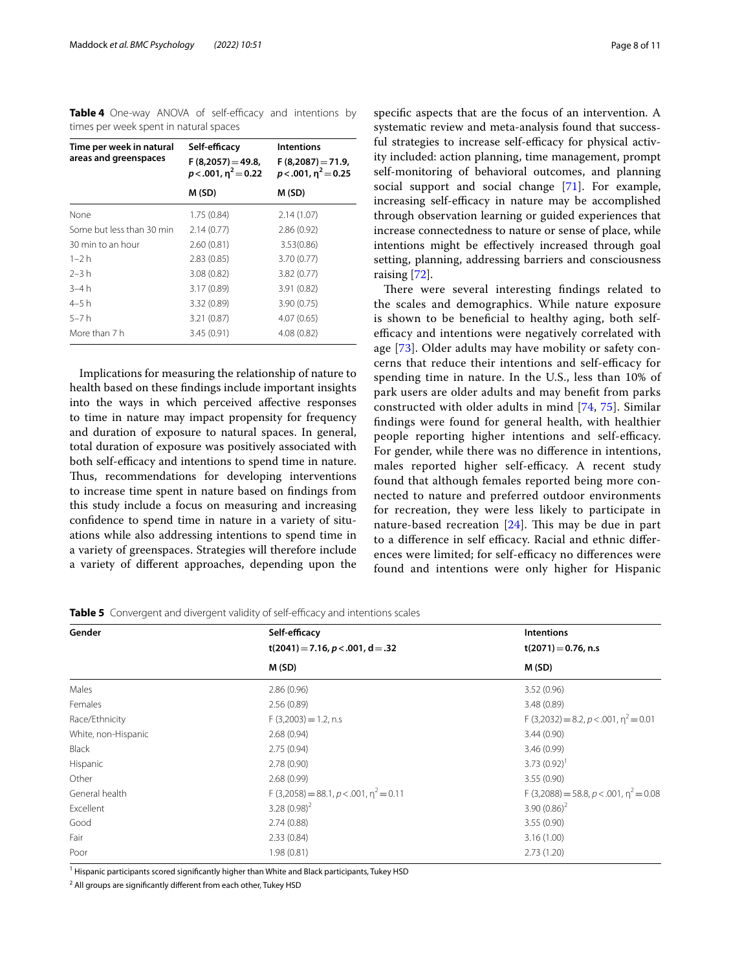<span id="page-7-0"></span>**Table 4** One-way ANOVA of self-efficacy and intentions by times per week spent in natural spaces

| Time per week in natural<br>areas and greenspaces | Self-efficacy<br>$F(8,2057) = 49.8$<br>$p<.001$ , $n^2=0.22$ | <b>Intentions</b><br>$F(8,2087) = 71.9$<br>$p < .001$ , $n^2 = 0.25$ |
|---------------------------------------------------|--------------------------------------------------------------|----------------------------------------------------------------------|
|                                                   | M (SD)                                                       | M (SD)                                                               |
| None                                              | 1.75(0.84)                                                   | 2.14(1.07)                                                           |
| Some but less than 30 min                         | 2.14(0.77)                                                   | 2.86(0.92)                                                           |
| 30 min to an hour                                 | 2.60(0.81)                                                   | 3.53(0.86)                                                           |
| $1 - 2h$                                          | 2.83(0.85)                                                   | 3.70(0.77)                                                           |
| $2 - 3 h$                                         | 3.08(0.82)                                                   | 3.82(0.77)                                                           |
| $3-4h$                                            | 3.17(0.89)                                                   | 3.91(0.82)                                                           |
| 4–5 h                                             | 3.32(0.89)                                                   | 3.90(0.75)                                                           |
| $5 - 7h$                                          | 3.21(0.87)                                                   | 4.07(0.65)                                                           |
| More than 7 h                                     | 3.45(0.91)                                                   | 4.08(0.82)                                                           |

Implications for measuring the relationship of nature to health based on these fndings include important insights into the ways in which perceived afective responses to time in nature may impact propensity for frequency and duration of exposure to natural spaces. In general, total duration of exposure was positively associated with both self-efficacy and intentions to spend time in nature. Thus, recommendations for developing interventions to increase time spent in nature based on fndings from this study include a focus on measuring and increasing confdence to spend time in nature in a variety of situations while also addressing intentions to spend time in a variety of greenspaces. Strategies will therefore include a variety of diferent approaches, depending upon the

specifc aspects that are the focus of an intervention. A systematic review and meta-analysis found that successful strategies to increase self-efficacy for physical activity included: action planning, time management, prompt self-monitoring of behavioral outcomes, and planning social support and social change [\[71\]](#page-10-26). For example, increasing self-efficacy in nature may be accomplished through observation learning or guided experiences that increase connectedness to nature or sense of place, while intentions might be efectively increased through goal setting, planning, addressing barriers and consciousness raising [[72\]](#page-10-27).

There were several interesting findings related to the scales and demographics. While nature exposure is shown to be benefcial to healthy aging, both selfefficacy and intentions were negatively correlated with age [[73](#page-10-28)]. Older adults may have mobility or safety concerns that reduce their intentions and self-efficacy for spending time in nature. In the U.S., less than 10% of park users are older adults and may beneft from parks constructed with older adults in mind [[74](#page-10-29), [75\]](#page-10-30). Similar fndings were found for general health, with healthier people reporting higher intentions and self-efficacy. For gender, while there was no diference in intentions, males reported higher self-efficacy. A recent study found that although females reported being more connected to nature and preferred outdoor environments for recreation, they were less likely to participate in nature-based recreation  $[24]$  $[24]$  $[24]$ . This may be due in part to a difference in self efficacy. Racial and ethnic differences were limited; for self-efficacy no differences were found and intentions were only higher for Hispanic

| Gender              | Self-efficacy                               | Intentions                                  |  |
|---------------------|---------------------------------------------|---------------------------------------------|--|
|                     | $t(2041) = 7.16, p < .001, d = .32$         | $t(2071) = 0.76$ , n.s<br>M(SD)             |  |
|                     | M(SD)                                       |                                             |  |
| Males               | 2.86(0.96)                                  | 3.52(0.96)                                  |  |
| Females             | 2.56(0.89)                                  | 3.48(0.89)                                  |  |
| Race/Ethnicity      | $F(3,2003) = 1.2$ , n.s                     | $F(3,2032) = 8.2, p < .001, \eta^2 = 0.01$  |  |
| White, non-Hispanic | 2.68(0.94)                                  | 3.44(0.90)                                  |  |
| <b>Black</b>        | 2.75(0.94)                                  | 3.46(0.99)                                  |  |
| Hispanic            | 2.78(0.90)                                  | $3.73(0.92)^1$                              |  |
| Other               | 2.68(0.99)                                  | 3.55(0.90)                                  |  |
| General health      | $F(3,2058) = 88.1, p < .001, \eta^2 = 0.11$ | $F(3,2088) = 58.8, p < .001, \eta^2 = 0.08$ |  |
| Excellent           | $3.28(0.98)^2$                              | 3.90 $(0.86)^2$                             |  |
| Good                | 2.74(0.88)                                  | 3.55(0.90)                                  |  |
| Fair                | 2.33(0.84)                                  | 3.16(1.00)                                  |  |
| Poor                | 1.98(0.81)                                  | 2.73(1.20)                                  |  |

<span id="page-7-1"></span>**Table 5** Convergent and divergent validity of self-efficacy and intentions scales

<sup>1</sup> Hispanic participants scored significantly higher than White and Black participants, Tukey HSD

<sup>2</sup> All groups are significantly different from each other, Tukey HSD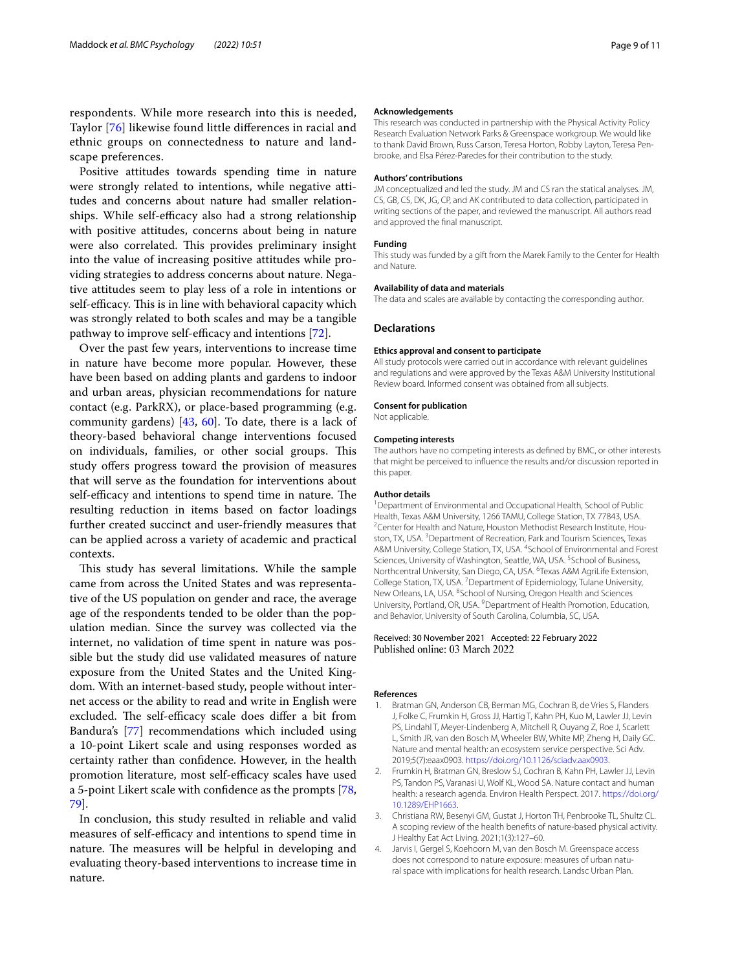respondents. While more research into this is needed, Taylor [\[76](#page-10-31)] likewise found little diferences in racial and ethnic groups on connectedness to nature and landscape preferences.

Positive attitudes towards spending time in nature were strongly related to intentions, while negative attitudes and concerns about nature had smaller relationships. While self-efficacy also had a strong relationship with positive attitudes, concerns about being in nature were also correlated. This provides preliminary insight into the value of increasing positive attitudes while providing strategies to address concerns about nature. Negative attitudes seem to play less of a role in intentions or self-efficacy. This is in line with behavioral capacity which was strongly related to both scales and may be a tangible pathway to improve self-efficacy and intentions [[72](#page-10-27)].

Over the past few years, interventions to increase time in nature have become more popular. However, these have been based on adding plants and gardens to indoor and urban areas, physician recommendations for nature contact (e.g. ParkRX), or place-based programming (e.g. community gardens) [[43,](#page-9-22) [60](#page-10-15)]. To date, there is a lack of theory-based behavioral change interventions focused on individuals, families, or other social groups. This study offers progress toward the provision of measures that will serve as the foundation for interventions about self-efficacy and intentions to spend time in nature. The resulting reduction in items based on factor loadings further created succinct and user-friendly measures that can be applied across a variety of academic and practical contexts.

This study has several limitations. While the sample came from across the United States and was representative of the US population on gender and race, the average age of the respondents tended to be older than the population median. Since the survey was collected via the internet, no validation of time spent in nature was possible but the study did use validated measures of nature exposure from the United States and the United Kingdom. With an internet-based study, people without internet access or the ability to read and write in English were excluded. The self-efficacy scale does differ a bit from Bandura's [[77\]](#page-10-32) recommendations which included using a 10-point Likert scale and using responses worded as certainty rather than confdence. However, in the health promotion literature, most self-efficacy scales have used a 5-point Likert scale with confdence as the prompts [\[78](#page-10-33), [79\]](#page-10-34).

In conclusion, this study resulted in reliable and valid measures of self-efficacy and intentions to spend time in nature. The measures will be helpful in developing and evaluating theory-based interventions to increase time in nature.

#### **Acknowledgements**

This research was conducted in partnership with the Physical Activity Policy Research Evaluation Network Parks & Greenspace workgroup. We would like to thank David Brown, Russ Carson, Teresa Horton, Robby Layton, Teresa Penbrooke, and Elsa Pérez-Paredes for their contribution to the study.

#### **Authors' contributions**

JM conceptualized and led the study. JM and CS ran the statical analyses. JM, CS, GB, CS, DK, JG, CP, and AK contributed to data collection, participated in writing sections of the paper, and reviewed the manuscript. All authors read and approved the fnal manuscript.

#### **Funding**

This study was funded by a gift from the Marek Family to the Center for Health and Nature.

#### **Availability of data and materials**

The data and scales are available by contacting the corresponding author.

#### **Declarations**

#### **Ethics approval and consent to participate**

All study protocols were carried out in accordance with relevant guidelines and regulations and were approved by the Texas A&M University Institutional Review board. Informed consent was obtained from all subjects.

#### **Consent for publication**

Not applicable.

#### **Competing interests**

The authors have no competing interests as defned by BMC, or other interests that might be perceived to infuence the results and/or discussion reported in this paper.

#### **Author details**

<sup>1</sup> Department of Environmental and Occupational Health, School of Public Health, Texas A&M University, 1266 TAMU, College Station, TX 77843, USA. <sup>2</sup> Center for Health and Nature, Houston Methodist Research Institute, Houston, TX, USA. <sup>3</sup> Department of Recreation, Park and Tourism Sciences, Texas A&M University, College Station, TX, USA. <sup>4</sup>School of Environmental and Forest Sciences, University of Washington, Seattle, WA, USA.<sup>5</sup> School of Business, Northcentral University, San Diego, CA, USA. <sup>6</sup>Texas A&M AgriLife Extension, College Station, TX, USA. <sup>7</sup> Department of Epidemiology, Tulane University, New Orleans, LA, USA. <sup>8</sup> School of Nursing, Oregon Health and Sciences University, Portland, OR, USA. <sup>9</sup> Department of Health Promotion, Education, and Behavior, University of South Carolina, Columbia, SC, USA.

# Received: 30 November 2021 Accepted: 22 February 2022 Published online: 03 March 2022

#### **References**

- <span id="page-8-0"></span>1. Bratman GN, Anderson CB, Berman MG, Cochran B, de Vries S, Flanders J, Folke C, Frumkin H, Gross JJ, Hartig T, Kahn PH, Kuo M, Lawler JJ, Levin PS, Lindahl T, Meyer-Lindenberg A, Mitchell R, Ouyang Z, Roe J, Scarlett L, Smith JR, van den Bosch M, Wheeler BW, White MP, Zheng H, Daily GC. Nature and mental health: an ecosystem service perspective. Sci Adv. 2019;5(7):eaax0903. [https://doi.org/10.1126/sciadv.aax0903.](https://doi.org/10.1126/sciadv.aax0903)
- <span id="page-8-3"></span>2. Frumkin H, Bratman GN, Breslow SJ, Cochran B, Kahn PH, Lawler JJ, Levin PS, Tandon PS, Varanasi U, Wolf KL, Wood SA. Nature contact and human health: a research agenda. Environ Health Perspect. 2017. [https://doi.org/](https://doi.org/10.1289/EHP1663) [10.1289/EHP1663](https://doi.org/10.1289/EHP1663).
- <span id="page-8-1"></span>3. Christiana RW, Besenyi GM, Gustat J, Horton TH, Penbrooke TL, Shultz CL. A scoping review of the health benefts of nature-based physical activity. J Healthy Eat Act Living. 2021;1(3):127–60.
- <span id="page-8-2"></span>4. Jarvis I, Gergel S, Koehoorn M, van den Bosch M. Greenspace access does not correspond to nature exposure: measures of urban natural space with implications for health research. Landsc Urban Plan.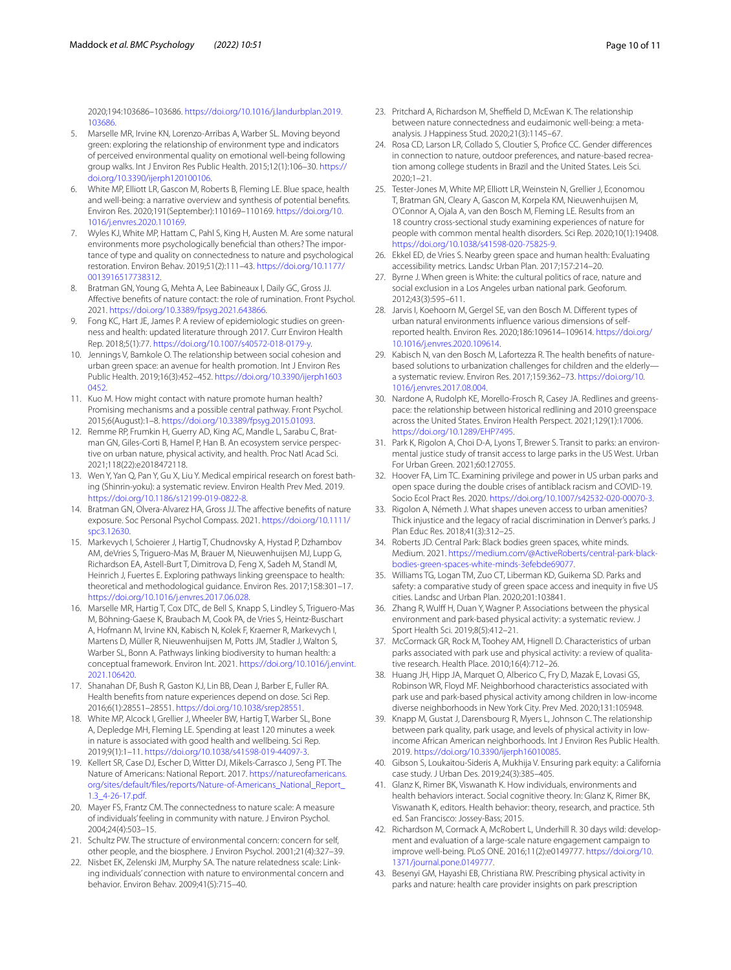2020;194:103686–103686. [https://doi.org/10.1016/j.landurbplan.2019.](https://doi.org/10.1016/j.landurbplan.2019.103686) [103686.](https://doi.org/10.1016/j.landurbplan.2019.103686)

- 5. Marselle MR, Irvine KN, Lorenzo-Arribas A, Warber SL. Moving beyond green: exploring the relationship of environment type and indicators of perceived environmental quality on emotional well-being following group walks. Int J Environ Res Public Health. 2015;12(1):106–30. [https://](https://doi.org/10.3390/ijerph120100106) [doi.org/10.3390/ijerph120100106.](https://doi.org/10.3390/ijerph120100106)
- 6. White MP, Elliott LR, Gascon M, Roberts B, Fleming LE. Blue space, health and well-being: a narrative overview and synthesis of potential benefts. Environ Res. 2020;191(September):110169–110169. [https://doi.org/10.](https://doi.org/10.1016/j.envres.2020.110169) [1016/j.envres.2020.110169](https://doi.org/10.1016/j.envres.2020.110169).
- <span id="page-9-0"></span>7. Wyles KJ, White MP, Hattam C, Pahl S, King H, Austen M. Are some natural environments more psychologically benefcial than others? The importance of type and quality on connectedness to nature and psychological restoration. Environ Behav. 2019;51(2):111–43. [https://doi.org/10.1177/](https://doi.org/10.1177/0013916517738312) [0013916517738312](https://doi.org/10.1177/0013916517738312).
- <span id="page-9-1"></span>8. Bratman GN, Young G, Mehta A, Lee Babineaux I, Daily GC, Gross JJ. Afective benefts of nature contact: the role of rumination. Front Psychol. 2021.<https://doi.org/10.3389/fpsyg.2021.643866>.
- 9. Fong KC, Hart JE, James P. A review of epidemiologic studies on greenness and health: updated literature through 2017. Curr Environ Health Rep. 2018;5(1):77. <https://doi.org/10.1007/s40572-018-0179-y>.
- 10. Jennings V, Bamkole O. The relationship between social cohesion and urban green space: an avenue for health promotion. Int J Environ Res Public Health. 2019;16(3):452–452. [https://doi.org/10.3390/ijerph1603](https://doi.org/10.3390/ijerph16030452) [0452](https://doi.org/10.3390/ijerph16030452)
- 11. Kuo M. How might contact with nature promote human health? Promising mechanisms and a possible central pathway. Front Psychol. 2015;6(August):1–8. [https://doi.org/10.3389/fpsyg.2015.01093.](https://doi.org/10.3389/fpsyg.2015.01093)
- <span id="page-9-18"></span>12. Remme RP, Frumkin H, Guerry AD, King AC, Mandle L, Sarabu C, Bratman GN, Giles-Corti B, Hamel P, Han B. An ecosystem service perspective on urban nature, physical activity, and health. Proc Natl Acad Sci. 2021;118(22):e2018472118.
- <span id="page-9-2"></span>13. Wen Y, Yan Q, Pan Y, Gu X, Liu Y. Medical empirical research on forest bathing (Shinrin-yoku): a systematic review. Environ Health Prev Med. 2019. [https://doi.org/10.1186/s12199-019-0822-8.](https://doi.org/10.1186/s12199-019-0822-8)
- <span id="page-9-3"></span>14. Bratman GN, Olvera-Alvarez HA, Gross JJ. The affective benefits of nature exposure. Soc Personal Psychol Compass. 2021. [https://doi.org/10.1111/](https://doi.org/10.1111/spc3.12630) [spc3.12630](https://doi.org/10.1111/spc3.12630).
- 15. Markevych I, Schoierer J, Hartig T, Chudnovsky A, Hystad P, Dzhambov AM, deVries S, Triguero-Mas M, Brauer M, Nieuwenhuijsen MJ, Lupp G, Richardson EA, Astell-Burt T, Dimitrova D, Feng X, Sadeh M, Standl M, Heinrich J, Fuertes E. Exploring pathways linking greenspace to health: theoretical and methodological guidance. Environ Res. 2017;158:301–17. [https://doi.org/10.1016/j.envres.2017.06.028.](https://doi.org/10.1016/j.envres.2017.06.028)
- 16. Marselle MR, Hartig T, Cox DTC, de Bell S, Knapp S, Lindley S, Triguero-Mas M, Böhning-Gaese K, Braubach M, Cook PA, de Vries S, Heintz-Buschart A, Hofmann M, Irvine KN, Kabisch N, Kolek F, Kraemer R, Markevych I, Martens D, Müller R, Nieuwenhuijsen M, Potts JM, Stadler J, Walton S, Warber SL, Bonn A. Pathways linking biodiversity to human health: a conceptual framework. Environ Int. 2021. [https://doi.org/10.1016/j.envint.](https://doi.org/10.1016/j.envint.2021.106420) [2021.106420.](https://doi.org/10.1016/j.envint.2021.106420)
- 17. Shanahan DF, Bush R, Gaston KJ, Lin BB, Dean J, Barber E, Fuller RA. Health benefts from nature experiences depend on dose. Sci Rep. 2016;6(1):28551–28551. <https://doi.org/10.1038/srep28551>.
- <span id="page-9-4"></span>18. White MP, Alcock I, Grellier J, Wheeler BW, Hartig T, Warber SL, Bone A, Depledge MH, Fleming LE. Spending at least 120 minutes a week in nature is associated with good health and wellbeing. Sci Rep. 2019;9(1):1–11. [https://doi.org/10.1038/s41598-019-44097-3.](https://doi.org/10.1038/s41598-019-44097-3)
- <span id="page-9-5"></span>19. Kellert SR, Case DJ, Escher D, Witter DJ, Mikels-Carrasco J, Seng PT. The Nature of Americans: National Report. 2017. [https://natureofamericans.](https://natureofamericans.org/sites/default/files/reports/Nature-of-Americans_National_Report_1.3_4-26-17.pdf) [org/sites/default/fles/reports/Nature-of-Americans\\_National\\_Report\\_](https://natureofamericans.org/sites/default/files/reports/Nature-of-Americans_National_Report_1.3_4-26-17.pdf) [1.3\\_4-26-17.pdf](https://natureofamericans.org/sites/default/files/reports/Nature-of-Americans_National_Report_1.3_4-26-17.pdf).
- <span id="page-9-6"></span>20. Mayer FS, Frantz CM. The connectedness to nature scale: A measure of individuals' feeling in community with nature. J Environ Psychol. 2004;24(4):503–15.
- <span id="page-9-7"></span>21. Schultz PW. The structure of environmental concern: concern for self, other people, and the biosphere. J Environ Psychol. 2001;21(4):327–39.
- <span id="page-9-8"></span>22. Nisbet EK, Zelenski JM, Murphy SA. The nature relatedness scale: Linking individuals' connection with nature to environmental concern and behavior. Environ Behav. 2009;41(5):715–40.
- <span id="page-9-9"></span>23. Pritchard A, Richardson M, Sheffield D, McEwan K. The relationship between nature connectedness and eudaimonic well-being: a metaanalysis. J Happiness Stud. 2020;21(3):1145–67.
- <span id="page-9-10"></span>24. Rosa CD, Larson LR, Collado S, Cloutier S, Profice CC. Gender differences in connection to nature, outdoor preferences, and nature-based recreation among college students in Brazil and the United States. Leis Sci. 2020;1–21.
- <span id="page-9-11"></span>25. Tester-Jones M, White MP, Elliott LR, Weinstein N, Grellier J, Economou T, Bratman GN, Cleary A, Gascon M, Korpela KM, Nieuwenhuijsen M, O'Connor A, Ojala A, van den Bosch M, Fleming LE. Results from an 18 country cross-sectional study examining experiences of nature for people with common mental health disorders. Sci Rep. 2020;10(1):19408. <https://doi.org/10.1038/s41598-020-75825-9>.
- <span id="page-9-12"></span>26. Ekkel ED, de Vries S. Nearby green space and human health: Evaluating accessibility metrics. Landsc Urban Plan. 2017;157:214–20.
- 27. Byrne J. When green is White: the cultural politics of race, nature and social exclusion in a Los Angeles urban national park. Geoforum. 2012;43(3):595–611.
- 28. Jarvis I, Koehoorn M, Gergel SE, van den Bosch M. Diferent types of urban natural environments infuence various dimensions of selfreported health. Environ Res. 2020;186:109614–109614. [https://doi.org/](https://doi.org/10.1016/j.envres.2020.109614) [10.1016/j.envres.2020.109614](https://doi.org/10.1016/j.envres.2020.109614).
- 29. Kabisch N, van den Bosch M, Lafortezza R. The health benefts of naturebased solutions to urbanization challenges for children and the elderly a systematic review. Environ Res. 2017;159:362–73. [https://doi.org/10.](https://doi.org/10.1016/j.envres.2017.08.004) [1016/j.envres.2017.08.004](https://doi.org/10.1016/j.envres.2017.08.004).
- 30. Nardone A, Rudolph KE, Morello-Frosch R, Casey JA. Redlines and greenspace: the relationship between historical redlining and 2010 greenspace across the United States. Environ Health Perspect. 2021;129(1):17006. <https://doi.org/10.1289/EHP7495>.
- <span id="page-9-13"></span>31. Park K, Rigolon A, Choi D-A, Lyons T, Brewer S. Transit to parks: an environmental justice study of transit access to large parks in the US West. Urban For Urban Green. 2021;60:127055.
- <span id="page-9-14"></span>32. Hoover FA, Lim TC. Examining privilege and power in US urban parks and open space during the double crises of antiblack racism and COVID-19. Socio Ecol Pract Res. 2020. [https://doi.org/10.1007/s42532-020-00070-3.](https://doi.org/10.1007/s42532-020-00070-3)
- 33. Rigolon A, Németh J. What shapes uneven access to urban amenities? Thick injustice and the legacy of racial discrimination in Denver's parks. J Plan Educ Res. 2018;41(3):312–25.
- 34. Roberts JD. Central Park: Black bodies green spaces, white minds. Medium. 2021. [https://medium.com/@ActiveRoberts/central-park-black](https://medium.com/@ActiveRoberts/central-park-black-bodies-green-spaces-white-minds-3efebde69077)[bodies-green-spaces-white-minds-3efebde69077](https://medium.com/@ActiveRoberts/central-park-black-bodies-green-spaces-white-minds-3efebde69077).
- <span id="page-9-15"></span>35. Williams TG, Logan TM, Zuo CT, Liberman KD, Guikema SD. Parks and safety: a comparative study of green space access and inequity in five US cities. Landsc and Urban Plan. 2020;201:103841.
- <span id="page-9-16"></span>36. Zhang R, Wulff H, Duan Y, Wagner P, Associations between the physical environment and park-based physical activity: a systematic review. J Sport Health Sci. 2019;8(5):412–21.
- 37. McCormack GR, Rock M, Toohey AM, Hignell D. Characteristics of urban parks associated with park use and physical activity: a review of qualitative research. Health Place. 2010;16(4):712–26.
- 38. Huang JH, Hipp JA, Marquet O, Alberico C, Fry D, Mazak E, Lovasi GS, Robinson WR, Floyd MF. Neighborhood characteristics associated with park use and park-based physical activity among children in low-income diverse neighborhoods in New York City. Prev Med. 2020;131:105948.
- <span id="page-9-17"></span>39. Knapp M, Gustat J, Darensbourg R, Myers L, Johnson C. The relationship between park quality, park usage, and levels of physical activity in lowincome African American neighborhoods. Int J Environ Res Public Health. 2019. [https://doi.org/10.3390/ijerph16010085.](https://doi.org/10.3390/ijerph16010085)
- <span id="page-9-19"></span>40. Gibson S, Loukaitou-Sideris A, Mukhija V. Ensuring park equity: a California case study. J Urban Des. 2019;24(3):385–405.
- <span id="page-9-20"></span>41. Glanz K, Rimer BK, Viswanath K. How individuals, environments and health behaviors interact. Social cognitive theory. In: Glanz K, Rimer BK, Viswanath K, editors. Health behavior: theory, research, and practice. 5th ed. San Francisco: Jossey-Bass; 2015.
- <span id="page-9-21"></span>42. Richardson M, Cormack A, McRobert L, Underhill R. 30 days wild: development and evaluation of a large-scale nature engagement campaign to improve well-being. PLoS ONE. 2016;11(2):e0149777. [https://doi.org/10.](https://doi.org/10.1371/journal.pone.0149777) [1371/journal.pone.0149777.](https://doi.org/10.1371/journal.pone.0149777)
- <span id="page-9-22"></span>43. Besenyi GM, Hayashi EB, Christiana RW. Prescribing physical activity in parks and nature: health care provider insights on park prescription